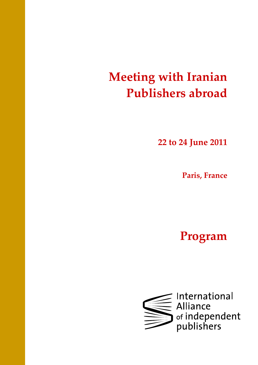# Meeting with Iranian Publishers abroad

22 to 24 June 2011

Paris, France

Program

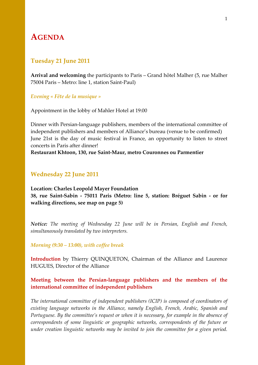# AGENDA

# Tuesday 21 June 2011

Arrival and welcoming the participants to Paris – Grand hôtel Malher (5, rue Malher 75004 Paris – Metro: line 1, station Saint-Paul)

#### Evening « Fête de la musique »

Appointment in the lobby of Mahler Hotel at 19:00

Dinner with Persian-language publishers, members of the international committee of independent publishers and members of Alliance's bureau (venue to be confirmed) June 21st is the day of music festival in France, an opportunity to listen to street concerts in Paris after dinner!

#### Restaurant Khtoon, 130, rue Saint-Maur, metro Couronnes ou Parmentier

# Wednesday 22 June 2011

Location: Charles Leopold Mayer Foundation 38, rue Saint-Sabin - 75011 Paris (Metro: line 5, station: Bréguet Sabin - or for walking directions, see map on page 5)

Notice: The meeting of Wednesday 22 June will be in Persian, English and French, simultaneously translated by two interpreters.

#### Morning (9:30 – 13:00), with coffee break

Introduction by Thierry QUINQUETON, Chairman of the Alliance and Laurence HUGUES, Director of the Alliance

# Meeting between the Persian-language publishers and the members of the international committee of independent publishers

The international committee of independent publishers (ICIP) is composed of coordinators of existing language networks in the Alliance, namely English, French, Arabic, Spanish and Portuguese. By the committee's request or when it is necessary, for example in the absence of correspondents of some linguistic or geographic networks, correspondents of the future or under creation linguistic networks may be invited to join the committee for a given period.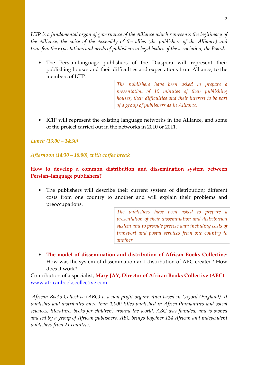ICIP is a fundamental organ of governance of the Alliance which represents the legitimacy of the Alliance, the voice of the Assembly of the allies (the publishers of the Alliance) and transfers the expectations and needs of publishers to legal bodies of the association, the Board.

• The Persian-language publishers of the Diaspora will represent their publishing houses and their difficulties and expectations from Alliance, to the members of ICIP.

> The publishers have been asked to prepare a presentation of 10 minutes of their publishing houses, their difficulties and their interest to be part of a group of publishers as in Alliance.

• ICIP will represent the existing language networks in the Alliance, and some of the project carried out in the networks in 2010 or 2011.

# Lunch (13:00 – 14:30)

# Afternoon (14:30 – 18:00), with coffee break

# How to develop a common distribution and dissemination system between Persian–language publishers?

• The publishers will describe their current system of distribution; different costs from one country to another and will explain their problems and preoccupations.

> The publishers have been asked to prepare a presentation of their dissemination and distribution system and to provide precise data including costs of transport and postal services from one country to another.

• The model of dissemination and distribution of African Books Collective: How was the system of dissemination and distribution of ABC created? How does it work?

Contribution of a specialist, Mary JAY, Director of African Books Collective (ABC) www.africanbookscollective.com

African Books Collective (ABC) is a non-profit organization based in Oxford (England). It publishes and distributes more than 1,000 titles published in Africa (humanities and social sciences, literature, books for children) around the world. ABC was founded, and is owned and led by a group of African publishers. ABC brings together 124 African and independent publishers from 21 countries.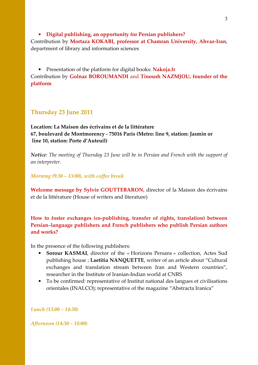• Digital publishing, an opportunity for Persian publishers? Contribution by Mortaza KOKABI, professor at Chamran University, Ahvaz-Iran, department of library and information sciences

• Presentation of the platform for digital books: Nakoja.fr Contribution by Golnaz BOROUMANDI and Tinoush NAZMJOU, founder of the platform

# Thursday 23 June 2011

Location: La Maison des écrivains et de la littérature 67, boulevard de Montmorency - 75016 Paris (Metro: line 9, station: Jasmin or line 10, station: Porte d'Auteuil)

Notice: The meeting of Thursday 23 June will be in Persian and French with the support of an interpreter.

Morning (9:30 – 13:00), with coffee break

Welcome message by Sylvie GOUTTEBARON, director of la Maison des écrivains et de la littérature (House of writers and literature)

How to foster exchanges (co-publishing, transfer of rights, translation) between Persian–language publishers and French publishers who publish Persian authors and works?

In the presence of the following publishers:

- Sorour KASMAI, director of the « Horizons Persans » collection, Actes Sud publishing house ; Laetitia NANQUETTE, writer of an article about "Cultural exchanges and translation stream between Iran and Western countries", researcher in the Institute of Iranian-Indian world at CNRS
- To be confirmed: representative of Institut national des langues et civilisations orientales (INALCO); representative of the magazine "Abstracta Iranica"

Lunch (13:00 – 14:30)

Afternoon (14:30 – 18:00)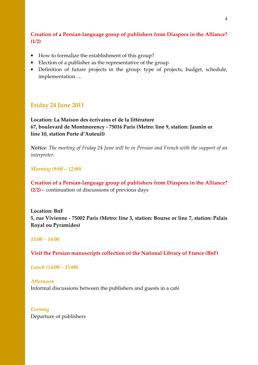# Creation of a Persian-language group of publishers from Diaspora in the Alliance?  $(1/2)$

- How to formalize the establishment of this group?
- Election of a publisher as the representative of the group
- Definition of future projects in the group: type of projects, budget, schedule, implementation….

# Friday 24 June 2011

# Location: La Maison des écrivains et de la littérature 67, boulevard de Montmorency - 75016 Paris (Metro: line 9, station: Jasmin or line 10, station Porte d'Auteuil)

Notice: The meeting of Friday 24 June will be in Persian and French with the support of an interpreter.

Morning (9:00 – 12:00)

Creation of a Persian-language group of publishers from Diaspora in the Alliance? (2/2) – continuation of discussions of previous days

Location: BnF 5, rue Vivienne - 75002 Paris (Metro: line 3, station: Bourse or line 7, station: Palais Royal ou Pyramides)

#### 13:00 – 14:00

Visit the Persian manuscripts collection of the National Library of France (BnF)

Lunch (14:00 – 15:00)

Afternoon Informal discussions between the publishers and guests in a café

Evening Departure of publishers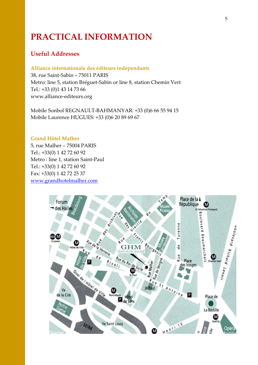# PRACTICAL INFORMATION

# Useful Addresses

#### Alliance internationale des éditeurs indépendants

38, rue Saint-Sabin – 75011 PARIS Metro: line 5, station Bréguet-Sabin or line 8, station Chemin Vert Tel.: +33 (0)1 43 14 73 66 www.alliance-editeurs.org

Mobile Sonbol REGNAULT-BAHMANYAR: +33 (0)6 66 55 94 15 Mobile Laurence HUGUES: +33 (0)6 20 89 69 67

## Grand Hôtel Malher

5, rue Malher – 75004 PARIS Tel.: +33(0) 1 42 72 60 92 Metro : line 1, station Saint-Paul Tel.: +33(0) 1 42 72 60 92 Fax: +33(0) 1 42 72 25 37 www.grandhotelmalher.com

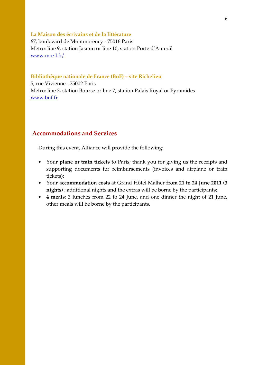#### La Maison des écrivains et de la littérature

67, boulevard de Montmorency - 75016 Paris Metro: line 9, station Jasmin or line 10, station Porte d'Auteuil www.m-e-l.fr/

#### Bibliothèque nationale de France (BnF) – site Richelieu

5, rue Vivienne - 75002 Paris Metro: line 3, station Bourse or line 7, station Palais Royal or Pyramides www.bnf.fr

# Accommodations and Services

During this event, Alliance will provide the following:

- Your plane or train tickets to Paris; thank you for giving us the receipts and supporting documents for reimbursements (invoices and airplane or train tickets);
- Your accommodation costs at Grand Hôtel Malher from 21 to 24 June 2011 (3 nights) ; additional nights and the extras will be borne by the participants;
- 4 meals: 3 lunches from 22 to 24 June, and one dinner the night of 21 June, other meals will be borne by the participants.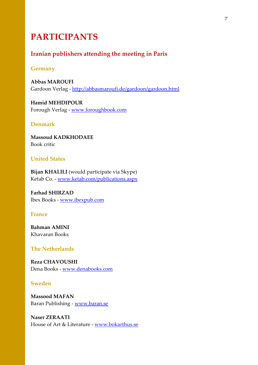# PARTICIPANTS

# Iranian publishers attending the meeting in Paris

## Germany

Abbas MAROUFI Gardoon Verlag - http://abbasmaroufi.de/gardoon/gardoon.html

Hamid MEHDIPOUR Forough Verlag - www.foroughbook.com

### Denmark

Massoud KADKHODAEE Book critic

# United States

Bijan KHALILI (would participate via Skype) Ketab Co. - www.ketab.com/publications.aspx

Farhad SHIRZAD Ibex Books - www.ibexpub.com

# France

Bahman AMINI Khavaran Books

# The Netherlands

Reza CHAVOUSHI Dena Books - www.denabooks.com

# Sweden

Massood MAFAN Baran Publishing - www.baran.se

Naser ZERAATI House of Art & Literature - www.bokarthus.se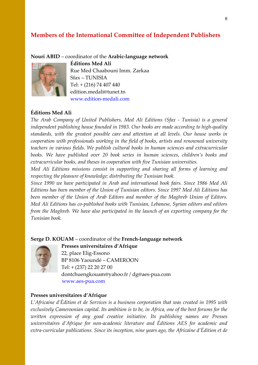# Members of the International Committee of Independent Publishers

#### Nouri ABID – coordinator of the Arabic-language network



Éditions Med Ali Rue Med Chaabouni Imm. Zarkaa Sfax – TUNISIA Tel: + (216) 74 407 440 edition.medali@tunet.tn www.edition-medali.com

# Éditions Med Ali

The Arab Company of United Publishers, Med Ali Editions (Sfax - Tunisia) is a general independent publishing house founded in 1983. Our books are made according to high-quality standards, with the greatest possible care and attention at all levels. Our house works in cooperation with professionals working in the field of books, artists and renowned university teachers in various fields. We publish cultural books in human sciences and extracurricular books. We have published over 20 book series in human sciences, children's books and extracurricular books, and theses in cooperation with five Tunisian universities.

Med Ali Editions missions consist in supporting and sharing all forms of learning and respecting the pleasure of knowledge; distributing the Tunisian book.

Since 1990 we have participated in Arab and international book fairs. Since 1986 Med Ali Editions has been member of the Union of Tunisian editors. Since 1997 Med Ali Editions has been member of the Union of Arab Editors and member of the Maghreb Union of Editors. Med Ali Editions has co-published books with Tunisian, Lebanese, Syrian editors and editors from the Maghreb. We have also participated in the launch of an exporting company for the Tunisian book.

#### Serge D. KOUAM – coordinator of the French-language network

Presses universitaires d'Afrique



22, place Elig-Essono BP 8106 Yaoundé – CAMEROON Tel: + (237) 22 20 27 00 dontchuengkouam@yahoo.fr / dg@aes-pua.com www.aes-pua.com

#### Presses universitaires d'Afrique

L'Africaine d'Édition et de Services is a business corporation that was created in 1995 with exclusively Cameroonian capital. Its ambition is to be, in Africa, one of the best forums for the written expression of any good creative initiative. Its publishing names are Presses universitaires d'Afrique for non-academic literature and Éditions AES for academic and extra-curricular publications. Since its inception, nine years ago, the Africaine d'Édition et de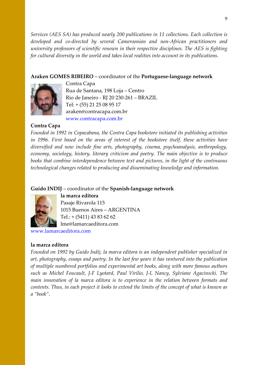Services (AES SA) has produced nearly 200 publications in 11 collections. Each collection is developed and co-directed by several Cameroonian and non-African practitioners and university professors of scientific renown in their respective disciplines. The AES is fighting for cultural diversity in the world and takes local realities into account in its publications.

# Araken GOMES RIBEIRO – coordinator of the Portuguese-language network



Contra Capa Rua de Santana, 198 Loja – Centro Rio de Janeiro - RJ 20 230-261 – BRAZIL Tel: + (55) 21 25 08 95 17 araken@contracapa.com.br www.contracapa.com.br

# Contra Capa

Founded in 1992 in Copacabana, the Contra Capa bookstore initiated its publishing activities in 1996. First based on the areas of interest of the bookstore itself, these activities have diversified and now include fine arts, photography, cinema, psychoanalysis, anthropology, economy, sociology, history, literary criticism and poetry. The main objective is to produce books that combine interdependence between text and pictures, in the light of the continuous technological changes related to producing and disseminating knowledge and information.

# Guido INDIJ – coordinator of the Spanish-language network



la marca editora Pasaje Rivarola 115 1015 Buenos Aires – ARGENTINA Tel.: + (5411) 43 83 62 62 lme@lamarcaeditora.com

www.lamarcaeditora.com

#### la marca editora

Founded on 1992 by Guido Indij, la marca editora is an independent publisher specialized in art, photography, essays and poetry. In the last few years it has ventured into the publication of multiple numbered portfolios and experimental art books, along with more famous authors such as Michel Foucault, J-F Lyotard, Paul Virilio, J-L Nancy, Sylviane Agacinscki. The main innovation of la marca editora is to experience in the relation between formats and contents. Thus, in each project it looks to extend the limits of the concept of what is known as a "book".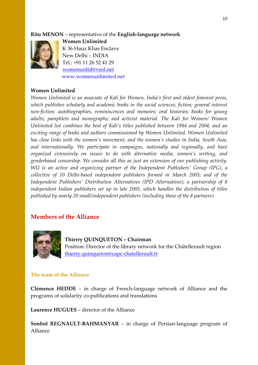# Ritu MENON – representative of the English-language network



Women Unlimited K 36 Hauz Khas Enclave New Delhi – INDIA Tel.: +91 11 26 52 41 29 womenunltd@vsnl.net www.womenunlimited.net

#### Women Unlimited

Women Unlimited is an associate of Kali for Women, India's first and oldest feminist press, which publishes scholarly and academic books in the social sciences; fiction; general interest non-fiction; autobiographies, reminiscences and memoirs; oral histories; books for young adults; pamphlets and monographs; and activist material. The Kali for Women/ Women Unlimited list combines the best of Kali's titles published between 1984 and 2004, and an exciting range of books and authors commissioned by Women Unlimited. Women Unlimited has close links with the women's movement, and the women's studies in India, South Asia, and internationally. We participate in campaigns, nationally and regionally, and have organized extensively on issues to do with alternative media, women's writing, and genderbased censorship. We consider all this as just an extension of our publishing activity. WU is an active and organizing partner of the Independent Publishers' Group (IPG), a collective of 10 Delhi-based independent publishers formed in March 2005; and of the Independent Publishers' Distribution Alternatives (IPD Alternatives), a partnership of 8 independent Indian publishers set up in late 2005, which handles the distribution of titles published by nearly 20 small/independent publishers (including those of the 8 partners).

# Members of the Alliance



Thierry QUINQUETON – Chairman Position: Director of the library network for the Châtellerault region thierry.quinqueton@capc-chatellerault.fr

# The team of the Alliance

Clémence HEDDE – in charge of French-language network of Alliance and the programs of solidarity co-publications and translations

Laurence HUGUES – director of the Alliance

Sonbol REGNAULT-BAHMANYAR – in charge of Persian-language program of Alliance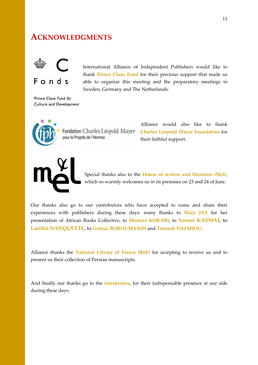# ACKNOWLEDGMENTS



International Alliance of Independent Publishers would like to thank Prince Claus Fund for their precious support that made us able to organize this meeting and the preparatory meetings in Sweden, Germany and The Netherlands.

Prince Claus Fund for Culture and Development



pour le Progrès de l'Homme

Alliance would also like to thank Fondation Charles Léopold Mayer Charles Léopold Mayer Foundation for their faithful support.



Special thanks also to the House of writers and literature (Mel), which so warmly welcomes us in its premises on 23 and 24 of June.

Our thanks also go to our contributors who have accepted to come and share their experiences with publishers during these days: many thanks to Mary JAY for her presentation of African Books Collective, to Mortaza KOKABI, to Sorour KASMAI, to Laetitia NANQUETTE, to Golnaz BOROUMANDI and Tinoush NAZMJOU.

Alliance thanks the National Library of France (BnF) for accepting to receive us and to present us their collection of Persian manuscripts.

And finally our thanks go to the *interpreters*, for their indispensable presence at our side during these days.